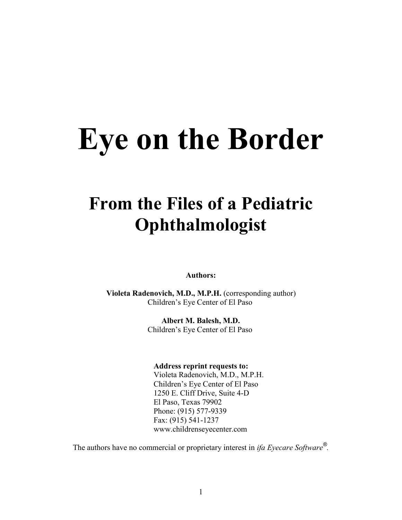# **Eye on the Border**

# **From the Files of a Pediatric Ophthalmologist**

**Authors:**

 **Violeta Radenovich, M.D., M.P.H.** (corresponding author) Children's Eye Center of El Paso

> **Albert M. Balesh, M.D.** Children's Eye Center of El Paso

**Address reprint requests to:**

 Violeta Radenovich, M.D., M.P.H. Children's Eye Center of El Paso 1250 E. Cliff Drive, Suite 4-D El Paso, Texas 79902 Phone: (915) 577-9339 Fax: (915) 541-1237 www.childrenseyecenter.com

The authors have no commercial or proprietary interest in *ifa Eyecare Software® .*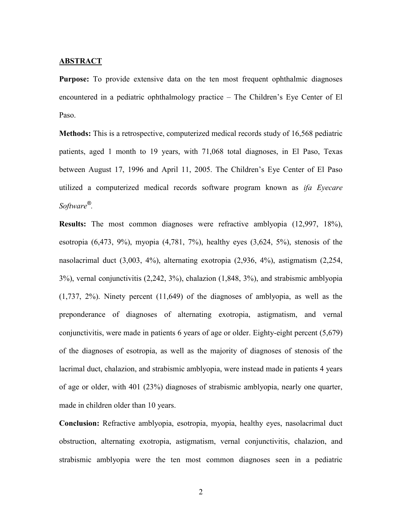#### **ABSTRACT**

**Purpose:** To provide extensive data on the ten most frequent ophthalmic diagnoses encountered in a pediatric ophthalmology practice – The Children's Eye Center of El Paso.

**Methods:** This is a retrospective, computerized medical records study of 16,568 pediatric patients, aged 1 month to 19 years, with 71,068 total diagnoses, in El Paso, Texas between August 17, 1996 and April 11, 2005. The Children's Eye Center of El Paso utilized a computerized medical records software program known as *ifa Eyecare Software® .*

**Results:** The most common diagnoses were refractive amblyopia (12,997, 18%), esotropia  $(6,473, 9\%)$ , myopia  $(4,781, 7\%)$ , healthy eyes  $(3,624, 5\%)$ , stenosis of the nasolacrimal duct (3,003, 4%), alternating exotropia (2,936, 4%), astigmatism (2,254, 3%), vernal conjunctivitis (2,242, 3%), chalazion (1,848, 3%), and strabismic amblyopia (1,737, 2%). Ninety percent (11,649) of the diagnoses of amblyopia, as well as the preponderance of diagnoses of alternating exotropia, astigmatism, and vernal conjunctivitis, were made in patients 6 years of age or older. Eighty-eight percent (5,679) of the diagnoses of esotropia, as well as the majority of diagnoses of stenosis of the lacrimal duct, chalazion, and strabismic amblyopia, were instead made in patients 4 years of age or older, with 401 (23%) diagnoses of strabismic amblyopia, nearly one quarter, made in children older than 10 years.

**Conclusion:** Refractive amblyopia, esotropia, myopia, healthy eyes, nasolacrimal duct obstruction, alternating exotropia, astigmatism, vernal conjunctivitis, chalazion, and strabismic amblyopia were the ten most common diagnoses seen in a pediatric

2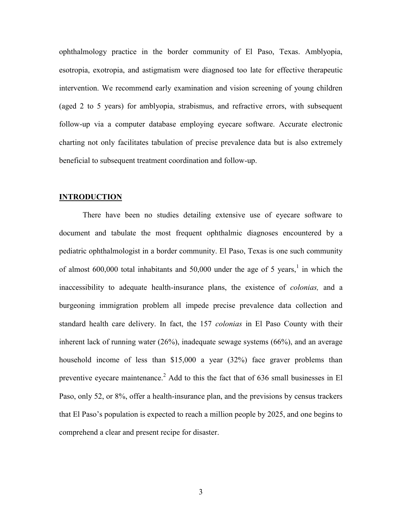ophthalmology practice in the border community of El Paso, Texas. Amblyopia, esotropia, exotropia, and astigmatism were diagnosed too late for effective therapeutic intervention. We recommend early examination and vision screening of young children (aged 2 to 5 years) for amblyopia, strabismus, and refractive errors, with subsequent follow-up via a computer database employing eyecare software. Accurate electronic charting not only facilitates tabulation of precise prevalence data but is also extremely beneficial to subsequent treatment coordination and follow-up.

#### **INTRODUCTION**

There have been no studies detailing extensive use of eyecare software to document and tabulate the most frequent ophthalmic diagnoses encountered by a pediatric ophthalmologist in a border community. El Paso, Texas is one such community of almost  $600,000$  total inhabitants and  $50,000$  under the age of 5 years,<sup>1</sup> in which the inaccessibility to adequate health-insurance plans, the existence of *colonias,* and a burgeoning immigration problem all impede precise prevalence data collection and standard health care delivery. In fact, the 157 *colonias* in El Paso County with their inherent lack of running water (26%), inadequate sewage systems (66%), and an average household income of less than \$15,000 a year (32%) face graver problems than preventive eyecare maintenance.<sup>2</sup> Add to this the fact that of 636 small businesses in El Paso, only 52, or 8%, offer a health-insurance plan, and the previsions by census trackers that El Paso's population is expected to reach a million people by 2025, and one begins to comprehend a clear and present recipe for disaster.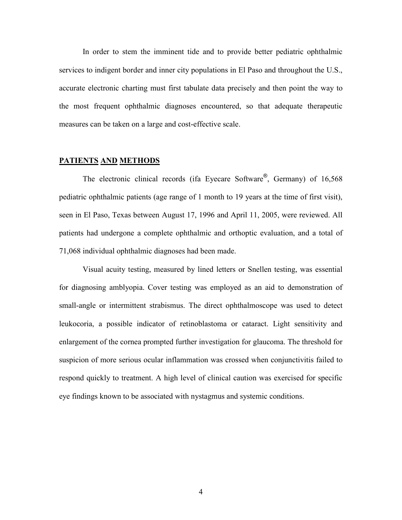In order to stem the imminent tide and to provide better pediatric ophthalmic services to indigent border and inner city populations in El Paso and throughout the U.S., accurate electronic charting must first tabulate data precisely and then point the way to the most frequent ophthalmic diagnoses encountered, so that adequate therapeutic measures can be taken on a large and cost-effective scale.

#### **PATIENTS AND METHODS**

The electronic clinical records (ifa Eyecare Software®, Germany) of 16,568 pediatric ophthalmic patients (age range of 1 month to 19 years at the time of first visit), seen in El Paso, Texas between August 17, 1996 and April 11, 2005, were reviewed. All patients had undergone a complete ophthalmic and orthoptic evaluation, and a total of 71,068 individual ophthalmic diagnoses had been made.

Visual acuity testing, measured by lined letters or Snellen testing, was essential for diagnosing amblyopia. Cover testing was employed as an aid to demonstration of small-angle or intermittent strabismus. The direct ophthalmoscope was used to detect leukocoria, a possible indicator of retinoblastoma or cataract. Light sensitivity and enlargement of the cornea prompted further investigation for glaucoma. The threshold for suspicion of more serious ocular inflammation was crossed when conjunctivitis failed to respond quickly to treatment. A high level of clinical caution was exercised for specific eye findings known to be associated with nystagmus and systemic conditions.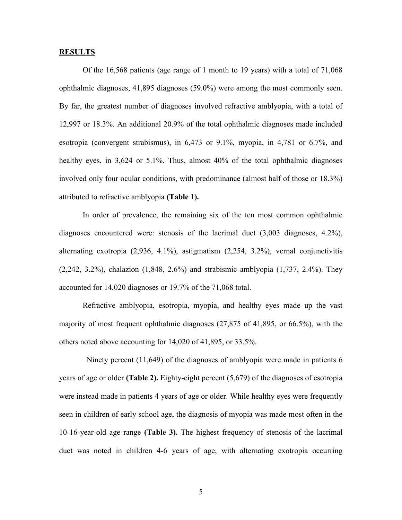#### **RESULTS**

Of the 16,568 patients (age range of 1 month to 19 years) with a total of 71,068 ophthalmic diagnoses, 41,895 diagnoses (59.0%) were among the most commonly seen. By far, the greatest number of diagnoses involved refractive amblyopia, with a total of 12,997 or 18.3%. An additional 20.9% of the total ophthalmic diagnoses made included esotropia (convergent strabismus), in 6,473 or 9.1%, myopia, in 4,781 or 6.7%, and healthy eyes, in 3,624 or 5.1%. Thus, almost 40% of the total ophthalmic diagnoses involved only four ocular conditions, with predominance (almost half of those or 18.3%) attributed to refractive amblyopia **(Table 1).**

In order of prevalence, the remaining six of the ten most common ophthalmic diagnoses encountered were: stenosis of the lacrimal duct (3,003 diagnoses, 4.2%), alternating exotropia (2,936, 4.1%), astigmatism (2,254, 3.2%), vernal conjunctivitis (2,242, 3.2%), chalazion (1,848, 2.6%) and strabismic amblyopia (1,737, 2.4%). They accounted for 14,020 diagnoses or 19.7% of the 71,068 total.

Refractive amblyopia, esotropia, myopia, and healthy eyes made up the vast majority of most frequent ophthalmic diagnoses (27,875 of 41,895, or 66.5%), with the others noted above accounting for 14,020 of 41,895, or 33.5%.

 Ninety percent (11,649) of the diagnoses of amblyopia were made in patients 6 years of age or older **(Table 2).** Eighty-eight percent (5,679) of the diagnoses of esotropia were instead made in patients 4 years of age or older. While healthy eyes were frequently seen in children of early school age, the diagnosis of myopia was made most often in the 10-16-year-old age range **(Table 3).** The highest frequency of stenosis of the lacrimal duct was noted in children 4-6 years of age, with alternating exotropia occurring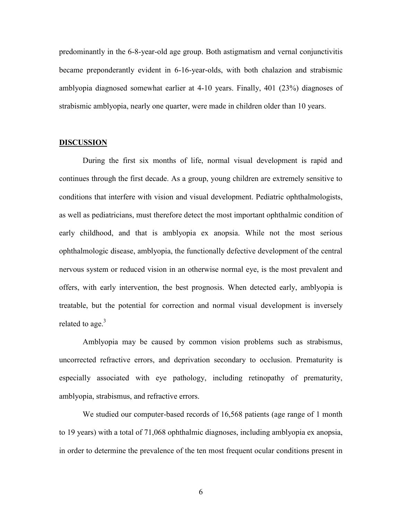predominantly in the 6-8-year-old age group. Both astigmatism and vernal conjunctivitis became preponderantly evident in 6-16-year-olds, with both chalazion and strabismic amblyopia diagnosed somewhat earlier at 4-10 years. Finally, 401 (23%) diagnoses of strabismic amblyopia, nearly one quarter, were made in children older than 10 years.

#### **DISCUSSION**

During the first six months of life, normal visual development is rapid and continues through the first decade. As a group, young children are extremely sensitive to conditions that interfere with vision and visual development. Pediatric ophthalmologists, as well as pediatricians, must therefore detect the most important ophthalmic condition of early childhood, and that is amblyopia ex anopsia. While not the most serious ophthalmologic disease, amblyopia, the functionally defective development of the central nervous system or reduced vision in an otherwise normal eye, is the most prevalent and offers, with early intervention, the best prognosis. When detected early, amblyopia is treatable, but the potential for correction and normal visual development is inversely related to age. $3<sup>3</sup>$ 

Amblyopia may be caused by common vision problems such as strabismus, uncorrected refractive errors, and deprivation secondary to occlusion. Prematurity is especially associated with eye pathology, including retinopathy of prematurity, amblyopia, strabismus, and refractive errors.

We studied our computer-based records of 16,568 patients (age range of 1 month to 19 years) with a total of 71,068 ophthalmic diagnoses, including amblyopia ex anopsia, in order to determine the prevalence of the ten most frequent ocular conditions present in

6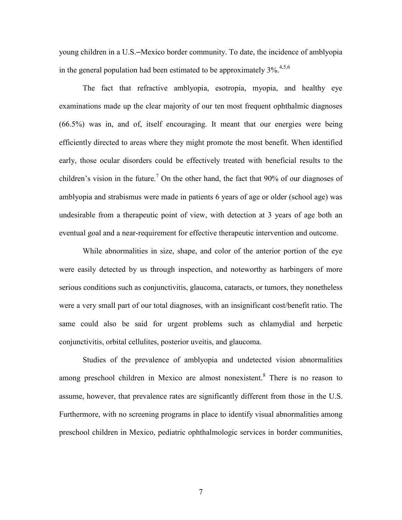young children in a U.S.–Mexico border community. To date, the incidence of amblyopia in the general population had been estimated to be approximately  $3\%$ <sup>4,5,6</sup>

The fact that refractive amblyopia, esotropia, myopia, and healthy eye examinations made up the clear majority of our ten most frequent ophthalmic diagnoses (66.5%) was in, and of, itself encouraging. It meant that our energies were being efficiently directed to areas where they might promote the most benefit. When identified early, those ocular disorders could be effectively treated with beneficial results to the children's vision in the future.<sup>7</sup> On the other hand, the fact that 90% of our diagnoses of amblyopia and strabismus were made in patients 6 years of age or older (school age) was undesirable from a therapeutic point of view, with detection at 3 years of age both an eventual goal and a near-requirement for effective therapeutic intervention and outcome.

While abnormalities in size, shape, and color of the anterior portion of the eye were easily detected by us through inspection, and noteworthy as harbingers of more serious conditions such as conjunctivitis, glaucoma, cataracts, or tumors, they nonetheless were a very small part of our total diagnoses, with an insignificant cost/benefit ratio. The same could also be said for urgent problems such as chlamydial and herpetic conjunctivitis, orbital cellulites, posterior uveitis, and glaucoma.

Studies of the prevalence of amblyopia and undetected vision abnormalities among preschool children in Mexico are almost nonexistent.<sup>8</sup> There is no reason to assume, however, that prevalence rates are significantly different from those in the U.S. Furthermore, with no screening programs in place to identify visual abnormalities among preschool children in Mexico, pediatric ophthalmologic services in border communities,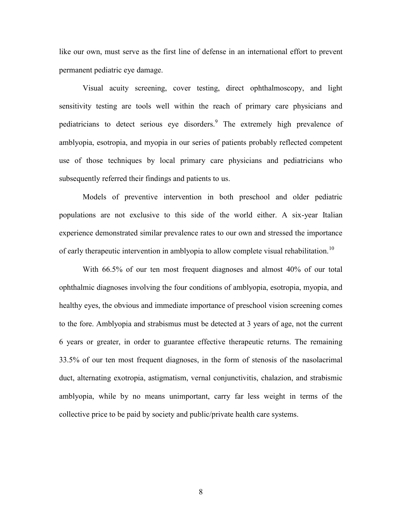like our own, must serve as the first line of defense in an international effort to prevent permanent pediatric eye damage.

Visual acuity screening, cover testing, direct ophthalmoscopy, and light sensitivity testing are tools well within the reach of primary care physicians and pediatricians to detect serious eye disorders.<sup>9</sup> The extremely high prevalence of amblyopia, esotropia, and myopia in our series of patients probably reflected competent use of those techniques by local primary care physicians and pediatricians who subsequently referred their findings and patients to us.

Models of preventive intervention in both preschool and older pediatric populations are not exclusive to this side of the world either. A six-year Italian experience demonstrated similar prevalence rates to our own and stressed the importance of early therapeutic intervention in amblyopia to allow complete visual rehabilitation.<sup>10</sup>

With 66.5% of our ten most frequent diagnoses and almost 40% of our total ophthalmic diagnoses involving the four conditions of amblyopia, esotropia, myopia, and healthy eyes, the obvious and immediate importance of preschool vision screening comes to the fore. Amblyopia and strabismus must be detected at 3 years of age, not the current 6 years or greater, in order to guarantee effective therapeutic returns. The remaining 33.5% of our ten most frequent diagnoses, in the form of stenosis of the nasolacrimal duct, alternating exotropia, astigmatism, vernal conjunctivitis, chalazion, and strabismic amblyopia, while by no means unimportant, carry far less weight in terms of the collective price to be paid by society and public/private health care systems.

8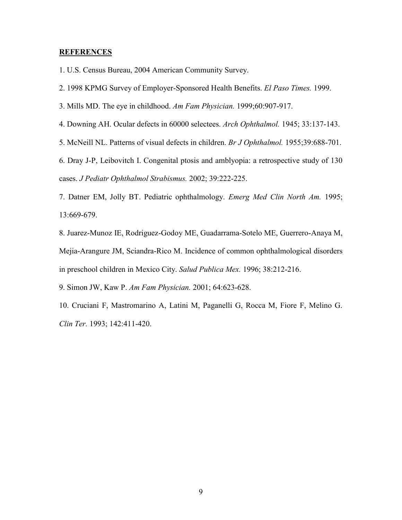#### **REFERENCES**

1. U.S. Census Bureau, 2004 American Community Survey.

2. 1998 KPMG Survey of Employer-Sponsored Health Benefits. *El Paso Times.* 1999.

3. Mills MD. The eye in childhood. *Am Fam Physician.* 1999;60:907-917.

4. Downing AH. Ocular defects in 60000 selectees. *Arch Ophthalmol.* 1945; 33:137-143.

5. McNeill NL. Patterns of visual defects in children. *Br J Ophthalmol.* 1955;39:688-701.

6. Dray J-P, Leibovitch I. Congenital ptosis and amblyopia: a retrospective study of 130 cases. *J Pediatr Ophthalmol Strabismus.* 2002; 39:222-225.

7. Datner EM, Jolly BT. Pediatric ophthalmology. *Emerg Med Clin North Am.* 1995; 13:669-679.

8. Juarez-Munoz IE, Rodriguez-Godoy ME, Guadarrama-Sotelo ME, Guerrero-Anaya M, Mejia-Arangure JM, Sciandra-Rico M. Incidence of common ophthalmological disorders in preschool children in Mexico City. *Salud Publica Mex.* 1996; 38:212-216.

9. Simon JW, Kaw P. *Am Fam Physician.* 2001; 64:623-628.

10. Cruciani F, Mastromarino A, Latini M, Paganelli G, Rocca M, Fiore F, Melino G. *Clin Ter.* 1993; 142:411-420.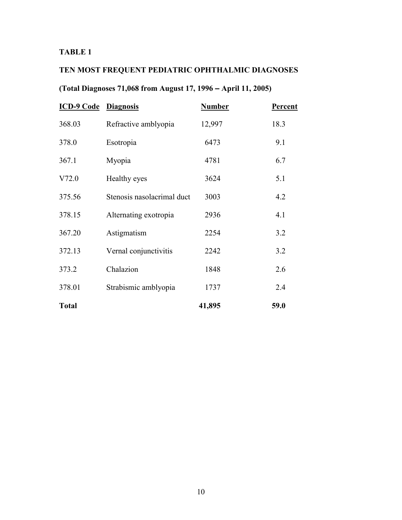### **TABLE 1**

# **TEN MOST FREQUENT PEDIATRIC OPHTHALMIC DIAGNOSES**

# **(Total Diagnoses 71,068 from August 17, 1996 – April 11, 2005)**

| <b>ICD-9 Code Diagnosis</b> |                            | <b>Number</b> | <b>Percent</b> |
|-----------------------------|----------------------------|---------------|----------------|
| 368.03                      | Refractive amblyopia       | 12,997        | 18.3           |
| 378.0                       | Esotropia                  | 6473          | 9.1            |
| 367.1                       | Myopia                     | 4781          | 6.7            |
| V72.0                       | Healthy eyes               | 3624          | 5.1            |
| 375.56                      | Stenosis nasolacrimal duct | 3003          | 4.2            |
| 378.15                      | Alternating exotropia      | 2936          | 4.1            |
| 367.20                      | Astigmatism                | 2254          | 3.2            |
| 372.13                      | Vernal conjunctivitis      | 2242          | 3.2            |
| 373.2                       | Chalazion                  | 1848          | 2.6            |
| 378.01                      | Strabismic amblyopia       | 1737          | 2.4            |
| <b>Total</b>                |                            | 41,895        | 59.0           |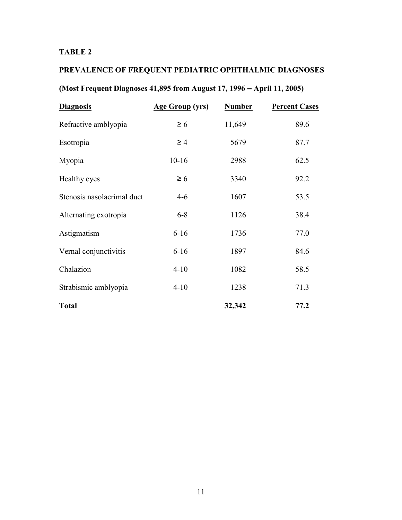### **TABLE 2**

# **PREVALENCE OF FREQUENT PEDIATRIC OPHTHALMIC DIAGNOSES**

# **(Most Frequent Diagnoses 41,895 from August 17, 1996 – April 11, 2005)**

| <b>Diagnosis</b>           | <b>Age Group</b> (yrs) | <b>Number</b> | <b>Percent Cases</b> |
|----------------------------|------------------------|---------------|----------------------|
| Refractive amblyopia       | $\geq 6$               | 11,649        | 89.6                 |
| Esotropia                  | $\geq 4$               | 5679          | 87.7                 |
| Myopia                     | $10 - 16$              | 2988          | 62.5                 |
| Healthy eyes               | $\geq 6$               | 3340          | 92.2                 |
| Stenosis nasolacrimal duct | $4 - 6$                | 1607          | 53.5                 |
| Alternating exotropia      | $6 - 8$                | 1126          | 38.4                 |
| Astigmatism                | $6 - 16$               | 1736          | 77.0                 |
| Vernal conjunctivitis      | $6 - 16$               | 1897          | 84.6                 |
| Chalazion                  | $4 - 10$               | 1082          | 58.5                 |
| Strabismic amblyopia       | $4 - 10$               | 1238          | 71.3                 |
| <b>Total</b>               |                        | 32,342        | 77.2                 |